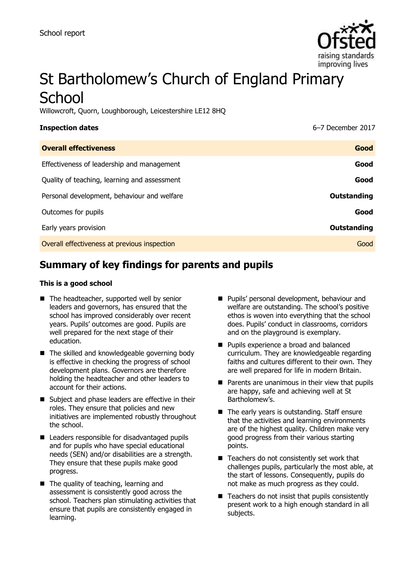

# St Bartholomew's Church of England Primary **School**

Willowcroft, Quorn, Loughborough, Leicestershire LE12 8HQ

| <b>Inspection dates</b>                      | 6-7 December 2017 |
|----------------------------------------------|-------------------|
| <b>Overall effectiveness</b>                 | Good              |
| Effectiveness of leadership and management   | Good              |
| Quality of teaching, learning and assessment | Good              |
| Personal development, behaviour and welfare  | Outstanding       |
| Outcomes for pupils                          | Good              |
| Early years provision                        | Outstanding       |
| Overall effectiveness at previous inspection | Good              |
|                                              |                   |

# **Summary of key findings for parents and pupils**

#### **This is a good school**

- The headteacher, supported well by senior leaders and governors, has ensured that the school has improved considerably over recent years. Pupils' outcomes are good. Pupils are well prepared for the next stage of their education.
- The skilled and knowledgeable governing body is effective in checking the progress of school development plans. Governors are therefore holding the headteacher and other leaders to account for their actions.
- Subject and phase leaders are effective in their roles. They ensure that policies and new initiatives are implemented robustly throughout the school.
- Leaders responsible for disadvantaged pupils and for pupils who have special educational needs (SEN) and/or disabilities are a strength. They ensure that these pupils make good progress.
- The quality of teaching, learning and assessment is consistently good across the school. Teachers plan stimulating activities that ensure that pupils are consistently engaged in learning.
- **Pupils' personal development, behaviour and** welfare are outstanding. The school's positive ethos is woven into everything that the school does. Pupils' conduct in classrooms, corridors and on the playground is exemplary.
- **Pupils experience a broad and balanced** curriculum. They are knowledgeable regarding faiths and cultures different to their own. They are well prepared for life in modern Britain.
- $\blacksquare$  Parents are unanimous in their view that pupils are happy, safe and achieving well at St Bartholomew's.
- $\blacksquare$  The early years is outstanding. Staff ensure that the activities and learning environments are of the highest quality. Children make very good progress from their various starting points.
- $\blacksquare$  Teachers do not consistently set work that challenges pupils, particularly the most able, at the start of lessons. Consequently, pupils do not make as much progress as they could.
- $\blacksquare$  Teachers do not insist that pupils consistently present work to a high enough standard in all subjects.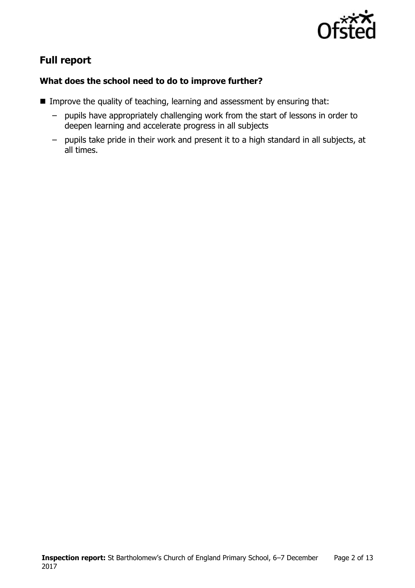

# **Full report**

### **What does the school need to do to improve further?**

- **IMPROVE the quality of teaching, learning and assessment by ensuring that:** 
	- pupils have appropriately challenging work from the start of lessons in order to deepen learning and accelerate progress in all subjects
	- pupils take pride in their work and present it to a high standard in all subjects, at all times.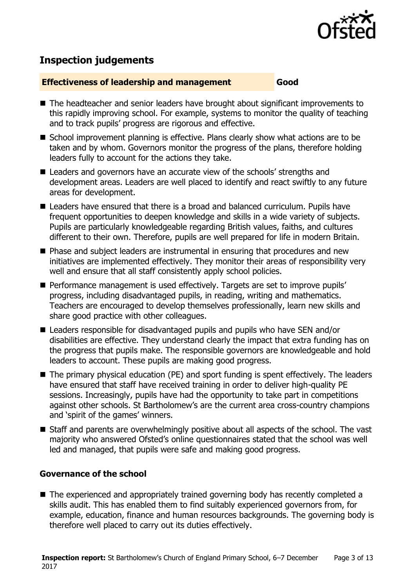

# **Inspection judgements**

#### **Effectiveness of leadership and management Good**

- The headteacher and senior leaders have brought about significant improvements to this rapidly improving school. For example, systems to monitor the quality of teaching and to track pupils' progress are rigorous and effective.
- School improvement planning is effective. Plans clearly show what actions are to be taken and by whom. Governors monitor the progress of the plans, therefore holding leaders fully to account for the actions they take.
- Leaders and governors have an accurate view of the schools' strengths and development areas. Leaders are well placed to identify and react swiftly to any future areas for development.
- Leaders have ensured that there is a broad and balanced curriculum. Pupils have frequent opportunities to deepen knowledge and skills in a wide variety of subjects. Pupils are particularly knowledgeable regarding British values, faiths, and cultures different to their own. Therefore, pupils are well prepared for life in modern Britain.
- **Phase and subject leaders are instrumental in ensuring that procedures and new** initiatives are implemented effectively. They monitor their areas of responsibility very well and ensure that all staff consistently apply school policies.
- **Performance management is used effectively. Targets are set to improve pupils'** progress, including disadvantaged pupils, in reading, writing and mathematics. Teachers are encouraged to develop themselves professionally, learn new skills and share good practice with other colleagues.
- Leaders responsible for disadvantaged pupils and pupils who have SEN and/or disabilities are effective. They understand clearly the impact that extra funding has on the progress that pupils make. The responsible governors are knowledgeable and hold leaders to account. These pupils are making good progress.
- The primary physical education (PE) and sport funding is spent effectively. The leaders have ensured that staff have received training in order to deliver high-quality PE sessions. Increasingly, pupils have had the opportunity to take part in competitions against other schools. St Bartholomew's are the current area cross-country champions and 'spirit of the games' winners.
- Staff and parents are overwhelmingly positive about all aspects of the school. The vast majority who answered Ofsted's online questionnaires stated that the school was well led and managed, that pupils were safe and making good progress.

#### **Governance of the school**

■ The experienced and appropriately trained governing body has recently completed a skills audit. This has enabled them to find suitably experienced governors from, for example, education, finance and human resources backgrounds. The governing body is therefore well placed to carry out its duties effectively.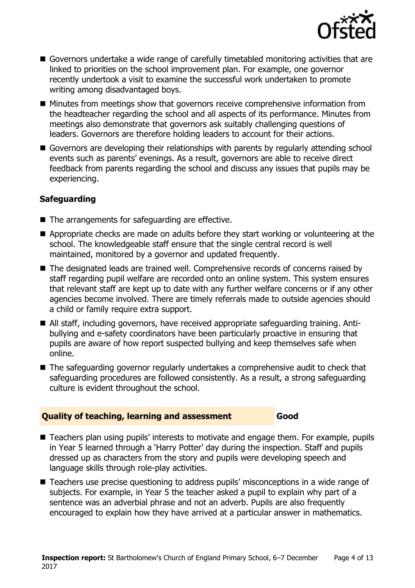

- Governors undertake a wide range of carefully timetabled monitoring activities that are linked to priorities on the school improvement plan. For example, one governor recently undertook a visit to examine the successful work undertaken to promote writing among disadvantaged boys.
- Minutes from meetings show that governors receive comprehensive information from the headteacher regarding the school and all aspects of its performance. Minutes from meetings also demonstrate that governors ask suitably challenging questions of leaders. Governors are therefore holding leaders to account for their actions.
- Governors are developing their relationships with parents by regularly attending school events such as parents' evenings. As a result, governors are able to receive direct feedback from parents regarding the school and discuss any issues that pupils may be experiencing.

### **Safeguarding**

- The arrangements for safeguarding are effective.
- Appropriate checks are made on adults before they start working or volunteering at the school. The knowledgeable staff ensure that the single central record is well maintained, monitored by a governor and updated frequently.
- The designated leads are trained well. Comprehensive records of concerns raised by staff regarding pupil welfare are recorded onto an online system. This system ensures that relevant staff are kept up to date with any further welfare concerns or if any other agencies become involved. There are timely referrals made to outside agencies should a child or family require extra support.
- All staff, including governors, have received appropriate safeguarding training. Antibullying and e-safety coordinators have been particularly proactive in ensuring that pupils are aware of how report suspected bullying and keep themselves safe when online.
- The safeguarding governor regularly undertakes a comprehensive audit to check that safeguarding procedures are followed consistently. As a result, a strong safeguarding culture is evident throughout the school.

#### **Quality of teaching, learning and assessment Good**

- Teachers plan using pupils' interests to motivate and engage them. For example, pupils in Year 5 learned through a 'Harry Potter' day during the inspection. Staff and pupils dressed up as characters from the story and pupils were developing speech and language skills through role-play activities.
- Teachers use precise questioning to address pupils' misconceptions in a wide range of subjects. For example, in Year 5 the teacher asked a pupil to explain why part of a sentence was an adverbial phrase and not an adverb. Pupils are also frequently encouraged to explain how they have arrived at a particular answer in mathematics.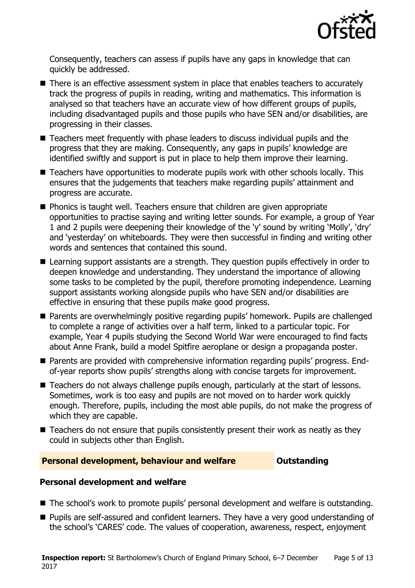

Consequently, teachers can assess if pupils have any gaps in knowledge that can quickly be addressed.

- There is an effective assessment system in place that enables teachers to accurately track the progress of pupils in reading, writing and mathematics. This information is analysed so that teachers have an accurate view of how different groups of pupils, including disadvantaged pupils and those pupils who have SEN and/or disabilities, are progressing in their classes.
- Teachers meet frequently with phase leaders to discuss individual pupils and the progress that they are making. Consequently, any gaps in pupils' knowledge are identified swiftly and support is put in place to help them improve their learning.
- Teachers have opportunities to moderate pupils work with other schools locally. This ensures that the judgements that teachers make regarding pupils' attainment and progress are accurate.
- **Phonics is taught well. Teachers ensure that children are given appropriate** opportunities to practise saying and writing letter sounds. For example, a group of Year 1 and 2 pupils were deepening their knowledge of the 'y' sound by writing 'Molly', 'dry' and 'yesterday' on whiteboards. They were then successful in finding and writing other words and sentences that contained this sound.
- Learning support assistants are a strength. They question pupils effectively in order to deepen knowledge and understanding. They understand the importance of allowing some tasks to be completed by the pupil, therefore promoting independence. Learning support assistants working alongside pupils who have SEN and/or disabilities are effective in ensuring that these pupils make good progress.
- Parents are overwhelmingly positive regarding pupils' homework. Pupils are challenged to complete a range of activities over a half term, linked to a particular topic. For example, Year 4 pupils studying the Second World War were encouraged to find facts about Anne Frank, build a model Spitfire aeroplane or design a propaganda poster.
- Parents are provided with comprehensive information regarding pupils' progress. Endof-year reports show pupils' strengths along with concise targets for improvement.
- Teachers do not always challenge pupils enough, particularly at the start of lessons. Sometimes, work is too easy and pupils are not moved on to harder work quickly enough. Therefore, pupils, including the most able pupils, do not make the progress of which they are capable.
- $\blacksquare$  Teachers do not ensure that pupils consistently present their work as neatly as they could in subjects other than English.

#### **Personal development, behaviour and welfare <b>COUNG COULDER** Outstanding

#### **Personal development and welfare**

- The school's work to promote pupils' personal development and welfare is outstanding.
- **Pupils are self-assured and confident learners. They have a very good understanding of** the school's 'CARES' code. The values of cooperation, awareness, respect, enjoyment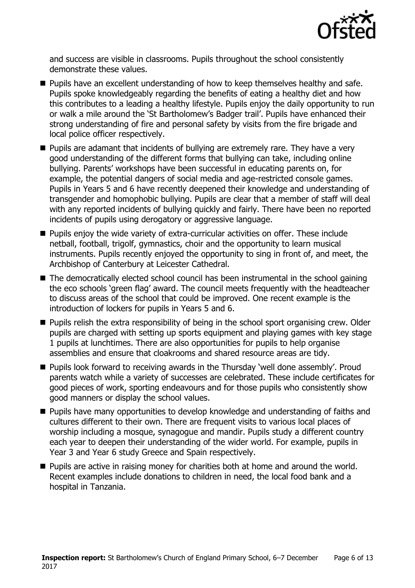

and success are visible in classrooms. Pupils throughout the school consistently demonstrate these values.

- **Pupils have an excellent understanding of how to keep themselves healthy and safe.** Pupils spoke knowledgeably regarding the benefits of eating a healthy diet and how this contributes to a leading a healthy lifestyle. Pupils enjoy the daily opportunity to run or walk a mile around the 'St Bartholomew's Badger trail'. Pupils have enhanced their strong understanding of fire and personal safety by visits from the fire brigade and local police officer respectively.
- **Pupils are adamant that incidents of bullying are extremely rare. They have a very** good understanding of the different forms that bullying can take, including online bullying. Parents' workshops have been successful in educating parents on, for example, the potential dangers of social media and age-restricted console games. Pupils in Years 5 and 6 have recently deepened their knowledge and understanding of transgender and homophobic bullying. Pupils are clear that a member of staff will deal with any reported incidents of bullying quickly and fairly. There have been no reported incidents of pupils using derogatory or aggressive language.
- **Pupils enjoy the wide variety of extra-curricular activities on offer. These include** netball, football, trigolf, gymnastics, choir and the opportunity to learn musical instruments. Pupils recently enjoyed the opportunity to sing in front of, and meet, the Archbishop of Canterbury at Leicester Cathedral.
- The democratically elected school council has been instrumental in the school gaining the eco schools 'green flag' award. The council meets frequently with the headteacher to discuss areas of the school that could be improved. One recent example is the introduction of lockers for pupils in Years 5 and 6.
- **Pupils relish the extra responsibility of being in the school sport organising crew. Older** pupils are charged with setting up sports equipment and playing games with key stage 1 pupils at lunchtimes. There are also opportunities for pupils to help organise assemblies and ensure that cloakrooms and shared resource areas are tidy.
- Pupils look forward to receiving awards in the Thursday 'well done assembly'. Proud parents watch while a variety of successes are celebrated. These include certificates for good pieces of work, sporting endeavours and for those pupils who consistently show good manners or display the school values.
- **Pupils have many opportunities to develop knowledge and understanding of faiths and** cultures different to their own. There are frequent visits to various local places of worship including a mosque, synagogue and mandir. Pupils study a different country each year to deepen their understanding of the wider world. For example, pupils in Year 3 and Year 6 study Greece and Spain respectively.
- **Pupils are active in raising money for charities both at home and around the world.** Recent examples include donations to children in need, the local food bank and a hospital in Tanzania.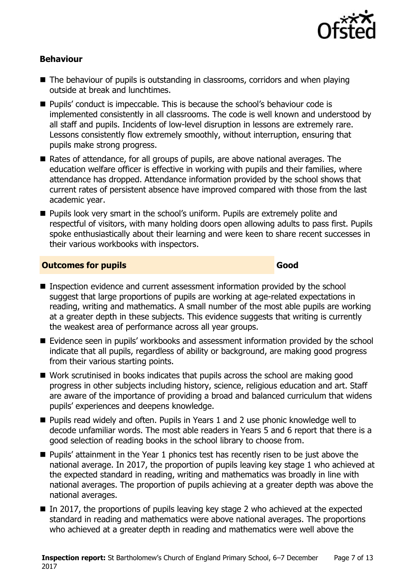

#### **Behaviour**

- The behaviour of pupils is outstanding in classrooms, corridors and when playing outside at break and lunchtimes.
- Pupils' conduct is impeccable. This is because the school's behaviour code is implemented consistently in all classrooms. The code is well known and understood by all staff and pupils. Incidents of low-level disruption in lessons are extremely rare. Lessons consistently flow extremely smoothly, without interruption, ensuring that pupils make strong progress.
- Rates of attendance, for all groups of pupils, are above national averages. The education welfare officer is effective in working with pupils and their families, where attendance has dropped. Attendance information provided by the school shows that current rates of persistent absence have improved compared with those from the last academic year.
- **Pupils look very smart in the school's uniform. Pupils are extremely polite and** respectful of visitors, with many holding doors open allowing adults to pass first. Pupils spoke enthusiastically about their learning and were keen to share recent successes in their various workbooks with inspectors.

#### **Outcomes for pupils Good**

- Inspection evidence and current assessment information provided by the school suggest that large proportions of pupils are working at age-related expectations in reading, writing and mathematics. A small number of the most able pupils are working at a greater depth in these subjects. This evidence suggests that writing is currently the weakest area of performance across all year groups.
- Evidence seen in pupils' workbooks and assessment information provided by the school indicate that all pupils, regardless of ability or background, are making good progress from their various starting points.
- Work scrutinised in books indicates that pupils across the school are making good progress in other subjects including history, science, religious education and art. Staff are aware of the importance of providing a broad and balanced curriculum that widens pupils' experiences and deepens knowledge.
- Pupils read widely and often. Pupils in Years 1 and 2 use phonic knowledge well to decode unfamiliar words. The most able readers in Years 5 and 6 report that there is a good selection of reading books in the school library to choose from.
- **Pupils'** attainment in the Year 1 phonics test has recently risen to be just above the national average. In 2017, the proportion of pupils leaving key stage 1 who achieved at the expected standard in reading, writing and mathematics was broadly in line with national averages. The proportion of pupils achieving at a greater depth was above the national averages.
- $\blacksquare$  In 2017, the proportions of pupils leaving key stage 2 who achieved at the expected standard in reading and mathematics were above national averages. The proportions who achieved at a greater depth in reading and mathematics were well above the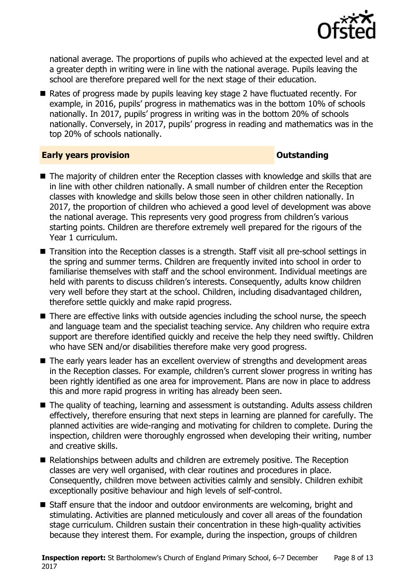

national average. The proportions of pupils who achieved at the expected level and at a greater depth in writing were in line with the national average. Pupils leaving the school are therefore prepared well for the next stage of their education.

Rates of progress made by pupils leaving key stage 2 have fluctuated recently. For example, in 2016, pupils' progress in mathematics was in the bottom 10% of schools nationally. In 2017, pupils' progress in writing was in the bottom 20% of schools nationally. Conversely, in 2017, pupils' progress in reading and mathematics was in the top 20% of schools nationally.

#### **Early years provision CONSTANDING TO A RESEARCH CONSTANDING TO A RESEARCH CONSTANDING TO A RESEARCH CONSTANDING TO A RESEARCH CONSTANDING TO A RESEARCH CONSTANDING TO A RESEARCH CONSTANDING TO A RESEARCH CONSTANDING TO**

- The majority of children enter the Reception classes with knowledge and skills that are in line with other children nationally. A small number of children enter the Reception classes with knowledge and skills below those seen in other children nationally. In 2017, the proportion of children who achieved a good level of development was above the national average. This represents very good progress from children's various starting points. Children are therefore extremely well prepared for the rigours of the Year 1 curriculum.
- Transition into the Reception classes is a strength. Staff visit all pre-school settings in the spring and summer terms. Children are frequently invited into school in order to familiarise themselves with staff and the school environment. Individual meetings are held with parents to discuss children's interests. Consequently, adults know children very well before they start at the school. Children, including disadvantaged children, therefore settle quickly and make rapid progress.
- There are effective links with outside agencies including the school nurse, the speech and language team and the specialist teaching service. Any children who require extra support are therefore identified quickly and receive the help they need swiftly. Children who have SEN and/or disabilities therefore make very good progress.
- The early years leader has an excellent overview of strengths and development areas in the Reception classes. For example, children's current slower progress in writing has been rightly identified as one area for improvement. Plans are now in place to address this and more rapid progress in writing has already been seen.
- The quality of teaching, learning and assessment is outstanding. Adults assess children effectively, therefore ensuring that next steps in learning are planned for carefully. The planned activities are wide-ranging and motivating for children to complete. During the inspection, children were thoroughly engrossed when developing their writing, number and creative skills.
- Relationships between adults and children are extremely positive. The Reception classes are very well organised, with clear routines and procedures in place. Consequently, children move between activities calmly and sensibly. Children exhibit exceptionally positive behaviour and high levels of self-control.
- Staff ensure that the indoor and outdoor environments are welcoming, bright and stimulating. Activities are planned meticulously and cover all areas of the foundation stage curriculum. Children sustain their concentration in these high-quality activities because they interest them. For example, during the inspection, groups of children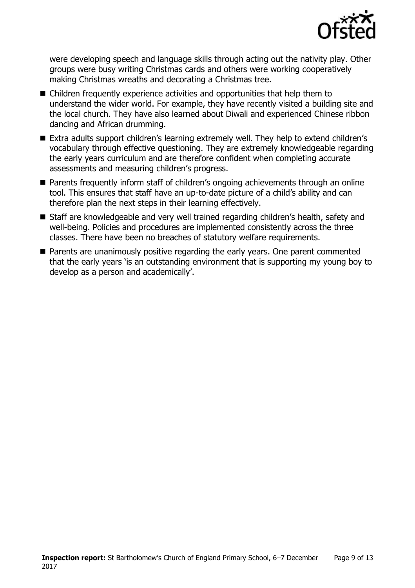

were developing speech and language skills through acting out the nativity play. Other groups were busy writing Christmas cards and others were working cooperatively making Christmas wreaths and decorating a Christmas tree.

- Children frequently experience activities and opportunities that help them to understand the wider world. For example, they have recently visited a building site and the local church. They have also learned about Diwali and experienced Chinese ribbon dancing and African drumming.
- Extra adults support children's learning extremely well. They help to extend children's vocabulary through effective questioning. They are extremely knowledgeable regarding the early years curriculum and are therefore confident when completing accurate assessments and measuring children's progress.
- Parents frequently inform staff of children's ongoing achievements through an online tool. This ensures that staff have an up-to-date picture of a child's ability and can therefore plan the next steps in their learning effectively.
- Staff are knowledgeable and very well trained regarding children's health, safety and well-being. Policies and procedures are implemented consistently across the three classes. There have been no breaches of statutory welfare requirements.
- **Parents are unanimously positive regarding the early years. One parent commented** that the early years 'is an outstanding environment that is supporting my young boy to develop as a person and academically'.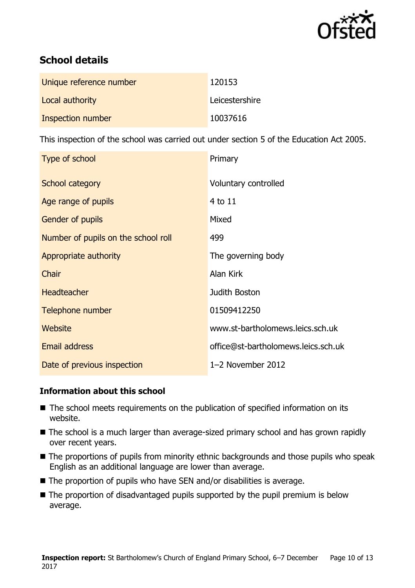

# **School details**

| Unique reference number | 120153         |
|-------------------------|----------------|
| Local authority         | Leicestershire |
| Inspection number       | 10037616       |

This inspection of the school was carried out under section 5 of the Education Act 2005.

| Type of school                      | Primary                             |
|-------------------------------------|-------------------------------------|
| School category                     | Voluntary controlled                |
| Age range of pupils                 | 4 to 11                             |
| <b>Gender of pupils</b>             | Mixed                               |
| Number of pupils on the school roll | 499                                 |
| Appropriate authority               | The governing body                  |
| Chair                               | Alan Kirk                           |
| Headteacher                         | Judith Boston                       |
| Telephone number                    | 01509412250                         |
| Website                             | www.st-bartholomews.leics.sch.uk    |
| <b>Email address</b>                | office@st-bartholomews.leics.sch.uk |
| Date of previous inspection         | 1-2 November 2012                   |

#### **Information about this school**

- The school meets requirements on the publication of specified information on its website.
- The school is a much larger than average-sized primary school and has grown rapidly over recent years.
- The proportions of pupils from minority ethnic backgrounds and those pupils who speak English as an additional language are lower than average.
- The proportion of pupils who have SEN and/or disabilities is average.
- The proportion of disadvantaged pupils supported by the pupil premium is below average.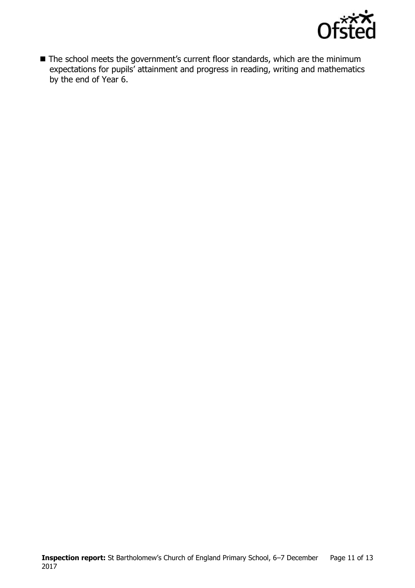

■ The school meets the government's current floor standards, which are the minimum expectations for pupils' attainment and progress in reading, writing and mathematics by the end of Year 6.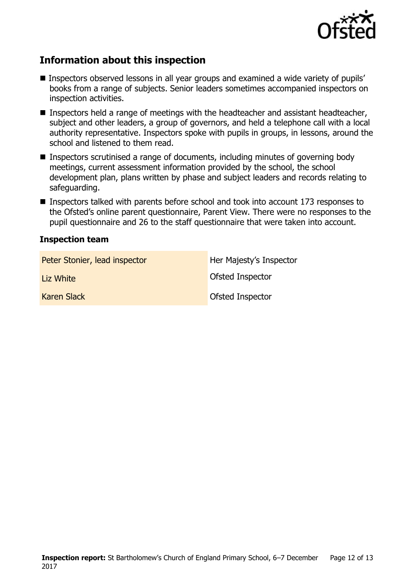

# **Information about this inspection**

- Inspectors observed lessons in all year groups and examined a wide variety of pupils' books from a range of subjects. Senior leaders sometimes accompanied inspectors on inspection activities.
- Inspectors held a range of meetings with the headteacher and assistant headteacher, subject and other leaders, a group of governors, and held a telephone call with a local authority representative. Inspectors spoke with pupils in groups, in lessons, around the school and listened to them read.
- Inspectors scrutinised a range of documents, including minutes of governing body meetings, current assessment information provided by the school, the school development plan, plans written by phase and subject leaders and records relating to safeguarding.
- Inspectors talked with parents before school and took into account 173 responses to the Ofsted's online parent questionnaire, Parent View. There were no responses to the pupil questionnaire and 26 to the staff questionnaire that were taken into account.

#### **Inspection team**

| Peter Stonier, lead inspector | Her Majesty's Inspector |
|-------------------------------|-------------------------|
| Liz White                     | <b>Ofsted Inspector</b> |
| <b>Karen Slack</b>            | <b>Ofsted Inspector</b> |